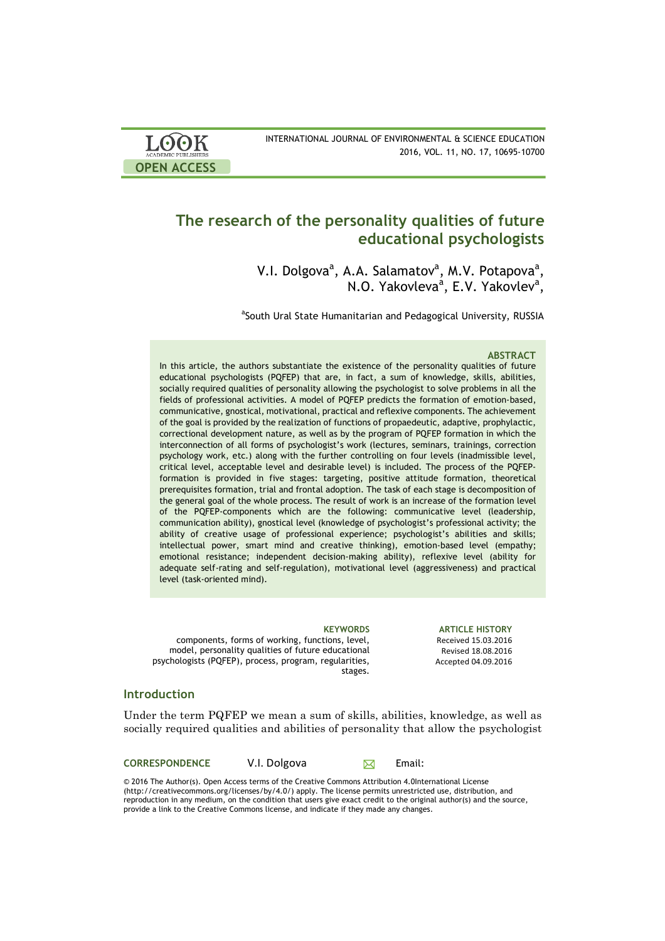| <b>LOOK</b>                | INTERNATIONAL JOURNAL OF ENVIRONMENTAL & SCIENCE EDUCATION |
|----------------------------|------------------------------------------------------------|
| <b>ACADEMIC PUBLISHERS</b> | 2016, VOL. 11, NO. 17, 10695-10700                         |
| <b>OPEN ACCESS</b>         |                                                            |

## **The research of the personality qualities of future educational psychologists**

V.I. Dolgova<sup>a</sup>, A.A. Salamatov<sup>a</sup>, M.V. Potapova<sup>a</sup>, N.O. Yakovleva<sup>a</sup>, E.V. Yakovlev<sup>a</sup>,

<sup>a</sup>South Ural State Humanitarian and Pedagogical University, RUSSIA

#### **ABSTRACT**

In this article, the authors substantiate the existence of the personality qualities of future educational psychologists (PQFEP) that are, in fact, a sum of knowledge, skills, abilities, socially required qualities of personality allowing the psychologist to solve problems in all the fields of professional activities. A model of PQFEP predicts the formation of emotion-based, communicative, gnostical, motivational, practical and reflexive components. The achievement of the goal is provided by the realization of functions of propaedeutic, adaptive, prophylactic, correctional development nature, as well as by the program of PQFEP formation in which the interconnection of all forms of psychologist's work (lectures, seminars, trainings, correction psychology work, etc.) along with the further controlling on four levels (inadmissible level, critical level, acceptable level and desirable level) is included. The process of the PQFEPformation is provided in five stages: targeting, positive attitude formation, theoretical prerequisites formation, trial and frontal adoption. The task of each stage is decomposition of the general goal of the whole process. The result of work is an increase of the formation level of the PQFEP-components which are the following: communicative level (leadership, communication ability), gnostical level (knowledge of psychologist's professional activity; the ability of creative usage of professional experience; psychologist's abilities and skills; intellectual power, smart mind and creative thinking), emotion-based level (empathy; emotional resistance; independent decision-making ability), reflexive level (ability for adequate self-rating and self-regulation), motivational level (aggressiveness) and practical level (task-oriented mind).

components, forms of working, functions, level, model, personality qualities of future educational psychologists (PQFEP), process, program, regularities, stages.

**KEYWORDS ARTICLE HISTORY** Received 15.03.2016 Revised 18.08.2016 Accepted 04.09.2016 

## **Introduction**

Under the term PQFEP we mean a sum of skills, abilities, knowledge, as well as socially required qualities and abilities of personality that allow the psychologist

**CORRESPONDENCE** V.I. Dolgova  $\boxtimes$  Email:

© 2016 The Author(s). Open Access terms of the Creative Commons Attribution 4.0International License (http://creativecommons.org/licenses/by/4.0/) apply. The license permits unrestricted use, distribution, and reproduction in any medium, on the condition that users give exact credit to the original author(s) and the source, provide a link to the Creative Commons license, and indicate if they made any changes.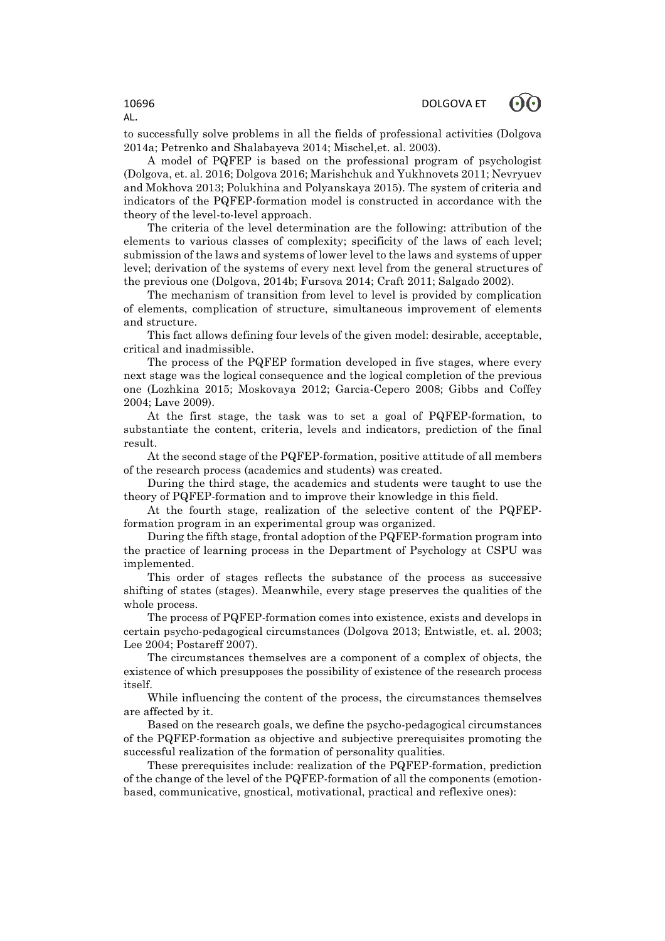# AL.

to successfully solve problems in all the fields of professional activities (Dolgova 2014a; Petrenko and Shalabayeva 2014; Mischel,et. al. 2003).

A model of PQFEP is based on the professional program of psychologist (Dolgova, et. al. 2016; Dolgova 2016; Marishchuk and Yukhnovets 2011; Nevryuev and Mokhova 2013; Polukhina and Polyanskaya 2015). The system of criteria and indicators of the PQFEP-formation model is constructed in accordance with the theory of the level-to-level approach.

The criteria of the level determination are the following: attribution of the elements to various classes of complexity; specificity of the laws of each level; submission of the laws and systems of lower level to the laws and systems of upper level; derivation of the systems of every next level from the general structures of the previous one (Dolgova, 2014b; Fursova 2014; Craft 2011; Salgado 2002).

The mechanism of transition from level to level is provided by complication of elements, complication of structure, simultaneous improvement of elements and structure.

This fact allows defining four levels of the given model: desirable, acceptable, critical and inadmissible.

The process of the PQFEP formation developed in five stages, where every next stage was the logical consequence and the logical completion of the previous one (Lozhkina 2015; Moskovaya 2012; Garcia-Cepero 2008; Gibbs and Coffey 2004; Lave 2009).

At the first stage, the task was to set a goal of PQFEP-formation, to substantiate the content, criteria, levels and indicators, prediction of the final result.

At the second stage of the PQFEP-formation, positive attitude of all members of the research process (academics and students) was created.

During the third stage, the academics and students were taught to use the theory of PQFEP-formation and to improve their knowledge in this field.

At the fourth stage, realization of the selective content of the PQFEPformation program in an experimental group was organized.

During the fifth stage, frontal adoption of the PQFEP-formation program into the practice of learning process in the Department of Psychology at CSPU was implemented.

This order of stages reflects the substance of the process as successive shifting of states (stages). Meanwhile, every stage preserves the qualities of the whole process.

The process of PQFEP-formation comes into existence, exists and develops in certain psycho-pedagogical circumstances (Dolgova 2013; Entwistle, et. al. 2003; Lee 2004; Postareff 2007).

The circumstances themselves are a component of a complex of objects, the existence of which presupposes the possibility of existence of the research process itself.

While influencing the content of the process, the circumstances themselves are affected by it.

Based on the research goals, we define the psycho-pedagogical circumstances of the PQFEP-formation as objective and subjective prerequisites promoting the successful realization of the formation of personality qualities.

These prerequisites include: realization of the PQFEP-formation, prediction of the change of the level of the PQFEP-formation of all the components (emotionbased, communicative, gnostical, motivational, practical and reflexive ones):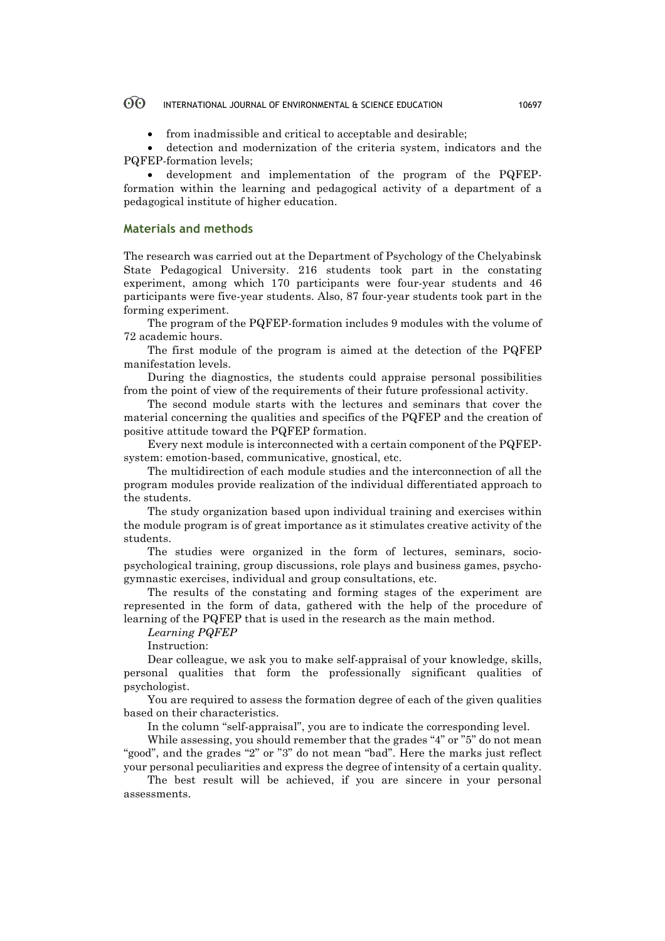#### ൈ INTERNATIONAL JOURNAL OF ENVIRONMENTAL & SCIENCE EDUCATION 10697

• from inadmissible and critical to acceptable and desirable;

• detection and modernization of the criteria system, indicators and the PQFEP-formation levels;

• development and implementation of the program of the PQFEPformation within the learning and pedagogical activity of a department of a pedagogical institute of higher education.

#### **Materials and methods**

The research was carried out at the Department of Psychology of the Chelyabinsk State Pedagogical University. 216 students took part in the constating experiment, among which 170 participants were four-year students and 46 participants were five-year students. Also, 87 four-year students took part in the forming experiment.

The program of the PQFEP-formation includes 9 modules with the volume of 72 academic hours.

The first module of the program is aimed at the detection of the PQFEP manifestation levels.

During the diagnostics, the students could appraise personal possibilities from the point of view of the requirements of their future professional activity.

The second module starts with the lectures and seminars that cover the material concerning the qualities and specifics of the PQFEP and the creation of positive attitude toward the PQFEP formation.

Every next module is interconnected with a certain component of the PQFEPsystem: emotion-based, communicative, gnostical, etc.

The multidirection of each module studies and the interconnection of all the program modules provide realization of the individual differentiated approach to the students.

The study organization based upon individual training and exercises within the module program is of great importance as it stimulates creative activity of the students.

The studies were organized in the form of lectures, seminars, sociopsychological training, group discussions, role plays and business games, psychogymnastic exercises, individual and group consultations, etc.

The results of the constating and forming stages of the experiment are represented in the form of data, gathered with the help of the procedure of learning of the PQFEP that is used in the research as the main method.

#### *Learning PQFEP*

Instruction:

Dear colleague, we ask you to make self-appraisal of your knowledge, skills, personal qualities that form the professionally significant qualities of psychologist.

You are required to assess the formation degree of each of the given qualities based on their characteristics.

In the column "self-appraisal", you are to indicate the corresponding level.

While assessing, you should remember that the grades "4" or "5" do not mean "good", and the grades "2" or "3" do not mean "bad". Here the marks just reflect your personal peculiarities and express the degree of intensity of a certain quality.

The best result will be achieved, if you are sincere in your personal assessments.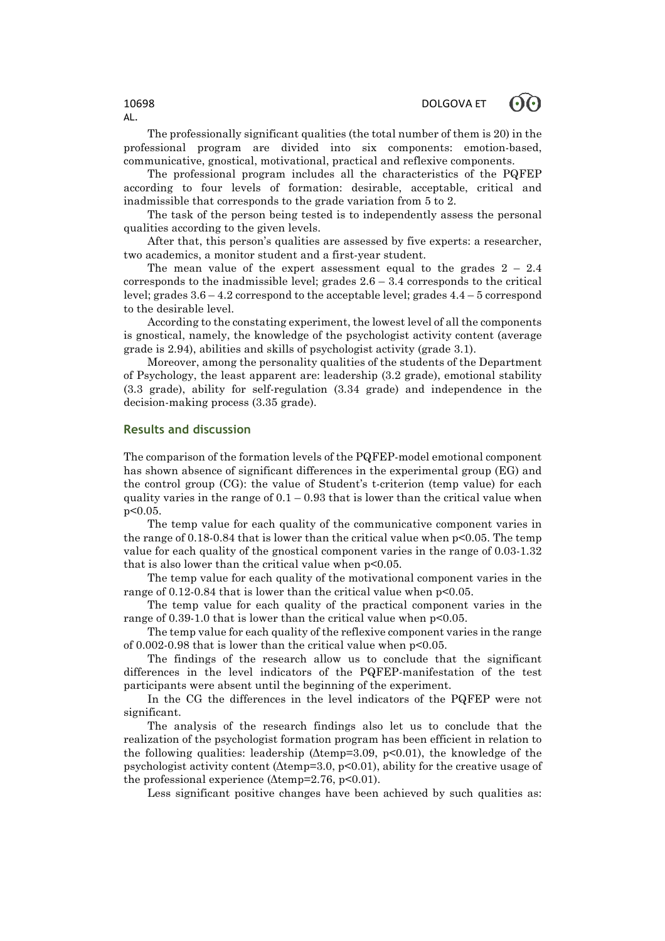AL.

The professionally significant qualities (the total number of them is 20) in the professional program are divided into six components: emotion-based, communicative, gnostical, motivational, practical and reflexive components.

The professional program includes all the characteristics of the PQFEP according to four levels of formation: desirable, acceptable, critical and inadmissible that corresponds to the grade variation from 5 to 2.

The task of the person being tested is to independently assess the personal qualities according to the given levels.

After that, this person's qualities are assessed by five experts: a researcher, two academics, a monitor student and a first-year student.

The mean value of the expert assessment equal to the grades  $2 - 2.4$ corresponds to the inadmissible level; grades  $2.6 - 3.4$  corresponds to the critical level; grades  $3.6 - 4.2$  correspond to the acceptable level; grades  $4.4 - 5$  correspond to the desirable level.

According to the constating experiment, the lowest level of all the components is gnostical, namely, the knowledge of the psychologist activity content (average grade is 2.94), abilities and skills of psychologist activity (grade 3.1).

Moreover, among the personality qualities of the students of the Department of Psychology, the least apparent are: leadership (3.2 grade), emotional stability (3.3 grade), ability for self-regulation (3.34 grade) and independence in the decision-making process (3.35 grade).

## **Results and discussion**

The comparison of the formation levels of the PQFEP-model emotional component has shown absence of significant differences in the experimental group (EG) and the control group (CG): the value of Student's t-criterion (temp value) for each quality varies in the range of  $0.1 - 0.93$  that is lower than the critical value when p<0.05.

The temp value for each quality of the communicative component varies in the range of 0.18-0.84 that is lower than the critical value when p<0.05. The temp value for each quality of the gnostical component varies in the range of 0.03-1.32 that is also lower than the critical value when p<0.05.

The temp value for each quality of the motivational component varies in the range of 0.12-0.84 that is lower than the critical value when  $p<0.05$ .

The temp value for each quality of the practical component varies in the range of  $0.39$ -1.0 that is lower than the critical value when  $p<0.05$ .

The temp value for each quality of the reflexive component varies in the range of 0.002-0.98 that is lower than the critical value when p<0.05.

The findings of the research allow us to conclude that the significant differences in the level indicators of the PQFEP-manifestation of the test participants were absent until the beginning of the experiment.

In the CG the differences in the level indicators of the PQFEP were not significant.

The analysis of the research findings also let us to conclude that the realization of the psychologist formation program has been efficient in relation to the following qualities: leadership (Δtemp=3.09, p<0.01), the knowledge of the psychologist activity content (Δtemp=3.0, p<0.01), ability for the creative usage of the professional experience ( $\triangle$ temp=2.76, p<0.01).

Less significant positive changes have been achieved by such qualities as: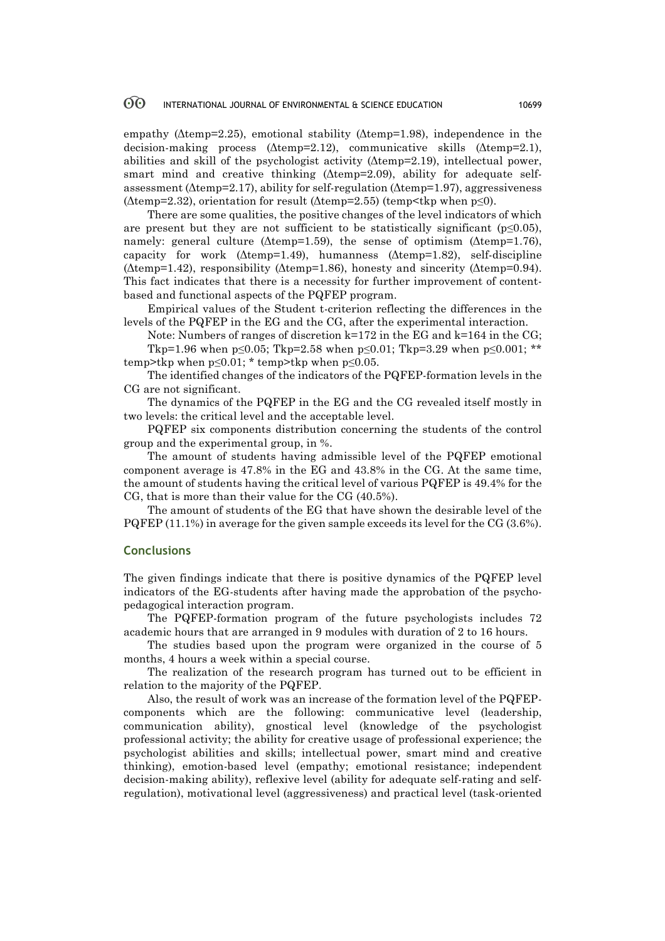#### 60 INTERNATIONAL JOURNAL OF ENVIRONMENTAL & SCIENCE EDUCATION 10699

empathy ( $\triangle$ temp=2.25), emotional stability ( $\triangle$ temp=1.98), independence in the decision-making process (Δtemp=2.12), communicative skills (Δtemp=2.1), abilities and skill of the psychologist activity (Δtemp=2.19), intellectual power, smart mind and creative thinking (Δtemp=2.09), ability for adequate selfassessment (Δtemp=2.17), ability for self-regulation (Δtemp=1.97), aggressiveness ( $\triangle$ temp=2.32), orientation for result ( $\triangle$ temp=2.55) (temp<tkp when p $\leq$ 0).

There are some qualities, the positive changes of the level indicators of which are present but they are not sufficient to be statistically significant ( $p \leq 0.05$ ), namely: general culture (Δtemp=1.59), the sense of optimism (Δtemp=1.76), capacity for work (Δtemp=1.49), humanness (Δtemp=1.82), self-discipline (Δtemp=1.42), responsibility (Δtemp=1.86), honesty and sincerity (Δtemp=0.94). This fact indicates that there is a necessity for further improvement of contentbased and functional aspects of the PQFEP program.

Empirical values of the Student t-criterion reflecting the differences in the levels of the PQFEP in the EG and the CG, after the experimental interaction.

Note: Numbers of ranges of discretion  $k=172$  in the EG and  $k=164$  in the CG; Tkp=1.96 when p≤0.05; Tkp=2.58 when p≤0.01; Tkp=3.29 when p≤0.001; \*\* temp>tkp when  $p \le 0.01$ ; \* temp>tkp when  $p \le 0.05$ .

The identified changes of the indicators of the PQFEP-formation levels in the CG are not significant.

The dynamics of the PQFEP in the EG and the CG revealed itself mostly in two levels: the critical level and the acceptable level.

PQFEP six components distribution concerning the students of the control group and the experimental group, in %.

The amount of students having admissible level of the PQFEP emotional component average is 47.8% in the EG and 43.8% in the CG. At the same time, the amount of students having the critical level of various PQFEP is 49.4% for the CG, that is more than their value for the CG (40.5%).

The amount of students of the EG that have shown the desirable level of the PQFEP (11.1%) in average for the given sample exceeds its level for the CG (3.6%).

#### **Conclusions**

The given findings indicate that there is positive dynamics of the PQFEP level indicators of the EG-students after having made the approbation of the psychopedagogical interaction program.

The PQFEP-formation program of the future psychologists includes 72 academic hours that are arranged in 9 modules with duration of 2 to 16 hours.

The studies based upon the program were organized in the course of 5 months, 4 hours a week within a special course.

The realization of the research program has turned out to be efficient in relation to the majority of the PQFEP.

Also, the result of work was an increase of the formation level of the PQFEPcomponents which are the following: communicative level (leadership, communication ability), gnostical level (knowledge of the psychologist professional activity; the ability for creative usage of professional experience; the psychologist abilities and skills; intellectual power, smart mind and creative thinking), emotion-based level (empathy; emotional resistance; independent decision-making ability), reflexive level (ability for adequate self-rating and selfregulation), motivational level (aggressiveness) and practical level (task-oriented